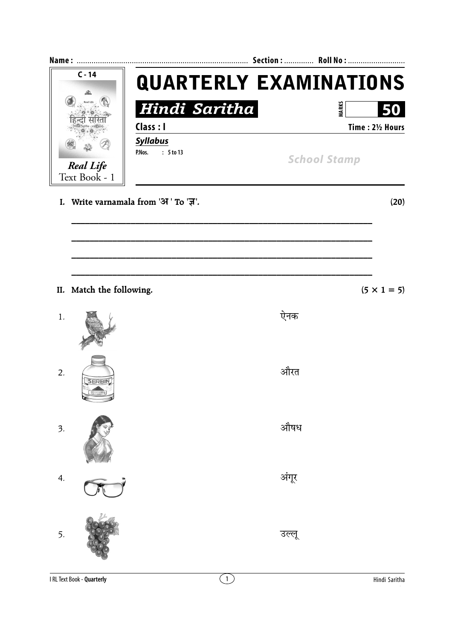